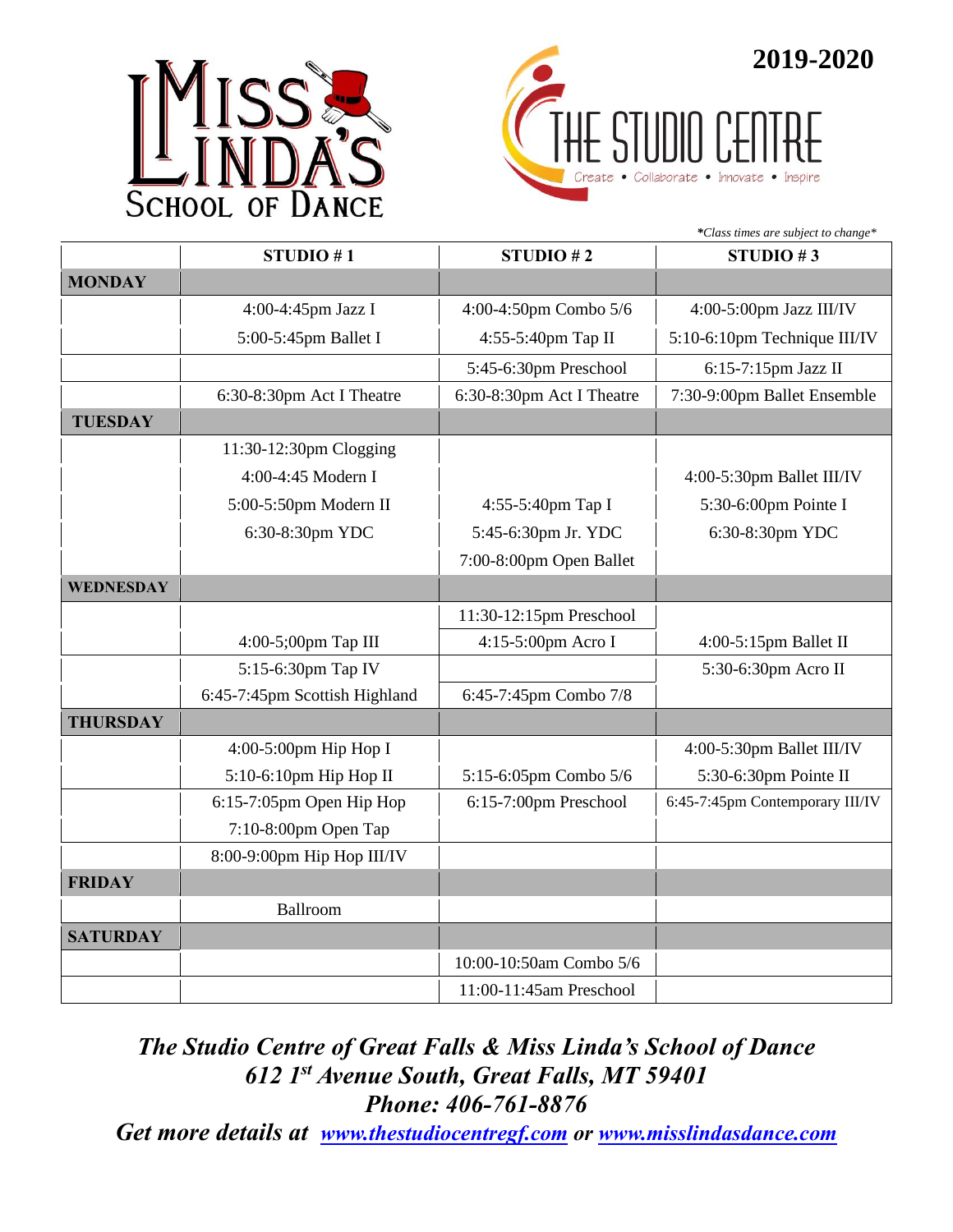



|                  |                               | *Class times are subject to change* |                                 |  |
|------------------|-------------------------------|-------------------------------------|---------------------------------|--|
|                  | STUDIO #1                     | STUDIO #2                           | STUDIO #3                       |  |
| <b>MONDAY</b>    |                               |                                     |                                 |  |
|                  | 4:00-4:45pm Jazz I            | 4:00-4:50pm Combo 5/6               | 4:00-5:00pm Jazz III/IV         |  |
|                  | 5:00-5:45pm Ballet I          | 4:55-5:40pm Tap II                  | 5:10-6:10pm Technique III/IV    |  |
|                  |                               | 5:45-6:30pm Preschool               | 6:15-7:15pm Jazz II             |  |
|                  | 6:30-8:30pm Act I Theatre     | 6:30-8:30pm Act I Theatre           | 7:30-9:00pm Ballet Ensemble     |  |
| <b>TUESDAY</b>   |                               |                                     |                                 |  |
|                  | 11:30-12:30pm Clogging        |                                     |                                 |  |
|                  | 4:00-4:45 Modern I            |                                     | 4:00-5:30pm Ballet III/IV       |  |
|                  | 5:00-5:50pm Modern II         | 4:55-5:40pm Tap I                   | 5:30-6:00pm Pointe I            |  |
|                  | 6:30-8:30pm YDC               | 5:45-6:30pm Jr. YDC                 | 6:30-8:30pm YDC                 |  |
|                  |                               | 7:00-8:00pm Open Ballet             |                                 |  |
| <b>WEDNESDAY</b> |                               |                                     |                                 |  |
|                  |                               | 11:30-12:15pm Preschool             |                                 |  |
|                  | 4:00-5;00pm Tap III           | 4:15-5:00pm Acro I                  | 4:00-5:15pm Ballet II           |  |
|                  | 5:15-6:30pm Tap IV            |                                     | 5:30-6:30pm Acro II             |  |
|                  | 6:45-7:45pm Scottish Highland | 6:45-7:45pm Combo 7/8               |                                 |  |
| <b>THURSDAY</b>  |                               |                                     |                                 |  |
|                  | 4:00-5:00pm Hip Hop I         |                                     | 4:00-5:30pm Ballet III/IV       |  |
|                  | $5:10-6:10$ pm Hip Hop II     | 5:15-6:05pm Combo 5/6               | 5:30-6:30pm Pointe II           |  |
|                  | 6:15-7:05pm Open Hip Hop      | 6:15-7:00pm Preschool               | 6:45-7:45pm Contemporary III/IV |  |
|                  | $7:10-8:00$ pm Open Tap       |                                     |                                 |  |
|                  | 8:00-9:00pm Hip Hop III/IV    |                                     |                                 |  |
| <b>FRIDAY</b>    |                               |                                     |                                 |  |
|                  | Ballroom                      |                                     |                                 |  |
| <b>SATURDAY</b>  |                               |                                     |                                 |  |
|                  |                               | 10:00-10:50am Combo 5/6             |                                 |  |
|                  |                               | 11:00-11:45am Preschool             |                                 |  |

## *The Studio Centre of Great Falls & Miss Linda's School of Dance 612 1 st Avenue South, Great Falls, MT 59401 Phone: 406-761-8876*

*Get more details at [www.thestudiocentregf.com](http://www.thestudiocentregf.com/) or [www.misslindasdance.com](http://www.misslindasdance.com/)*